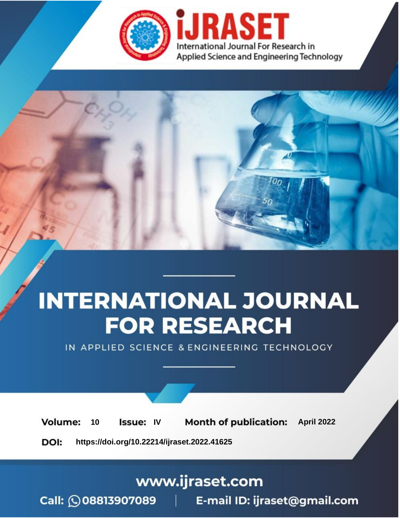

# **INTERNATIONAL JOURNAL FOR RESEARCH**

IN APPLIED SCIENCE & ENGINEERING TECHNOLOGY

10 **Issue: IV Month of publication:** April 2022 **Volume:** 

**https://doi.org/10.22214/ijraset.2022.41625**DOI:

www.ijraset.com

Call: 008813907089 | E-mail ID: ijraset@gmail.com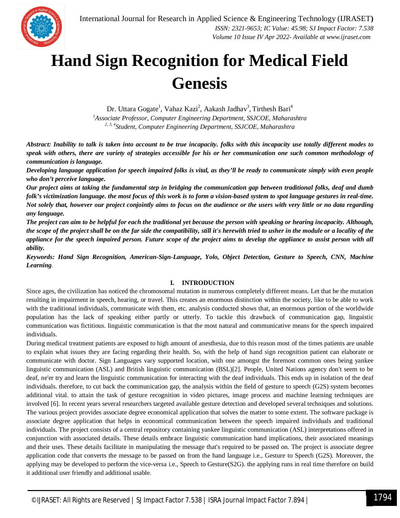

### **Hand Sign Recognition for Medical Field Genesis**

Dr. Uttara Gogate<sup>1</sup>, Vahaz Kazi<sup>2</sup>, Aakash Jadhav<sup>3</sup>, Tirthesh Bari<sup>4</sup> *<sup>1</sup>Associate Professor, Computer Engineering Department, SSJCOE, Maharashtra 2, 3, 4Student, Computer Engineering Department, SSJCOE, Maharashtra*

*Abstract: Inability to talk is taken into account to be true incapacity. folks with this incapacity use totally different modes to speak with others, there are variety of strategies accessible for his or her communication one such common methodology of communication is language.* 

*Developing language application for speech impaired folks is vital, as they'll be ready to communicate simply with even people who don't perceive language.* 

*Our project aims at taking the fundamental step in bridging the communication gap between traditional folks, deaf and dumb folk's victimization language. the most focus of this work is to form a vision-based system to spot language gestures in real-time. Not solely that, however our project conjointly aims to focus on the audience or the users with very little or no data regarding any language.* 

*The project can aim to be helpful for each the traditional yet because the person with speaking or hearing incapacity. Although, the scope of the project shall be on the far side the compatibility, still it's herewith tried to usher in the module or a locality of the appliance for the speech impaired person. Future scope of the project aims to develop the appliance to assist person with all ability.*

*Keywords: Hand Sign Recognition, American-Sign-Language, Yolo, Object Detection, Gesture to Speech, CNN, Machine Learning.*

#### **I. INTRODUCTION**

Since ages, the civilization has noticed the chromosomal mutation in numerous completely different means. Let that be the mutation resulting in impairment in speech, hearing, or travel. This creates an enormous distinction within the society, like to be able to work with the traditional individuals, communicate with them, etc. analysis conducted shows that, an enormous portion of the worldwide population has the lack of speaking either partly or utterly. To tackle this drawback of communication gap, linguistic communication was fictitious. linguistic communication is that the most natural and communicative means for the speech impaired individuals.

During medical treatment patients are exposed to high amount of anesthesia, due to this reason most of the times patients are unable to explain what issues they are facing regarding their health. So, with the help of hand sign recognition patient can elaborate or communicate with doctor. Sign Languages vary supported location, with one amongst the foremost common ones being yankee linguistic communication (ASL) and British linguistic communication (BSL)[2]. People, United Nations agency don't seem to be deaf, ne'er try and learn the linguistic communication for interacting with the deaf individuals. This ends up in isolation of the deaf individuals. therefore, to cut back the communication gap, the analysis within the field of gesture to speech (G2S) system becomes additional vital. to attain the task of gesture recognition in video pictures, image process and machine learning techniques are involved [6]. In recent years several researchers targeted available gesture detection and developed several techniques and solutions. The various project provides associate degree economical application that solves the matter to some extent. The software package is associate degree application that helps in economical communication between the speech impaired individuals and traditional individuals. The project consists of a central repository containing yankee linguistic communication (ASL) interpretations offered in conjunction with associated details. These details embrace linguistic communication hand implications, their associated meanings and their uses. These details facilitate in manipulating the message that's required to be passed on. The project is associate degree application code that converts the message to be passed on from the hand language i.e., Gesture to Speech (G2S). Moreover, the applying may be developed to perform the vice-versa i.e., Speech to Gesture(S2G). the applying runs in real time therefore on build it additional user friendly and additional usable.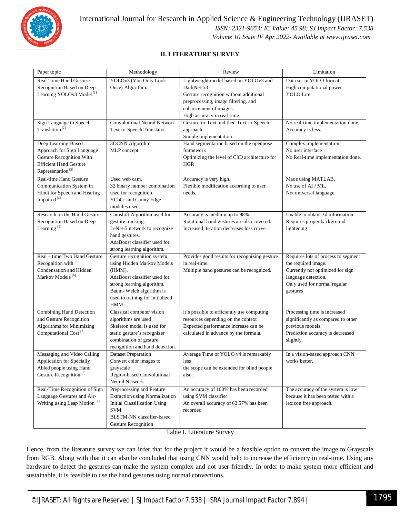

#### **II. LITERATURE SURVEY**

| Paper topic                                             | Methodology                           | Review                                                                      | Limitation                          |
|---------------------------------------------------------|---------------------------------------|-----------------------------------------------------------------------------|-------------------------------------|
| <b>Real-Time Hand Gesture</b>                           | YOLOv3 (You Only Look                 | Lightweight model based on YOLOv3 and                                       | Data set in YOLO format             |
| Recognition Based on Deep                               | Once) Algorithm.                      | DarkNet-53                                                                  | High computational power            |
| Learning YOLOv3 Model <sup>[1]</sup>                    |                                       | Gesture recognition without additional                                      | <b>YOLO</b> Lite                    |
|                                                         |                                       | preprocessing, image filtering, and                                         |                                     |
|                                                         |                                       | enhancement of images.                                                      |                                     |
|                                                         |                                       | High accuracy in real-time                                                  |                                     |
| Sign Language to Speech                                 | <b>Convolutional Neural Network</b>   | Gesture-to-Text and then Text-to-Speech                                     | No real-time implementation done.   |
| Translation <sup>[2]</sup>                              | Text-to-Speech Translator             | approach                                                                    | Accuracy is less.                   |
|                                                         |                                       | Simple implementation                                                       |                                     |
| Deep Learning-Based                                     | 3DCNN Algorithm                       | Hand segmentation based on the openpose                                     | Complex implementation              |
| Approach for Sign Language                              | MLP concept                           | framework                                                                   | No user interface                   |
| Gesture Recognition With                                |                                       | Optimizing the level of C3D architecture for                                | No Real-time implementation done.   |
| <b>Efficient Hand Gesture</b>                           |                                       | <b>HGR</b>                                                                  |                                     |
| Representation <sup>[3]</sup>                           |                                       |                                                                             |                                     |
| Real-time Hand Gesture                                  | Used web cam.                         | Accuracy is very high.                                                      | Made using MATLAB.                  |
| Communication System in                                 | 32 binary number combination          | Flexible modification according to user                                     | No use of AI / ML.                  |
| Hindi for Speech and Hearing<br>Impaired <sup>[4]</sup> | used for recognition.                 | needs.                                                                      | Not universal language.             |
|                                                         | YCbCr and Canny Edge<br>modules used. |                                                                             |                                     |
| Research on the Hand Gesture                            | Camshift Algorithm used for           |                                                                             | Unable to obtain 3d information.    |
| Recognition Based on Deep                               | gesture tracking.                     | Accuracy is medium up to 98%.<br>Rotational hand gestures are also covered. | Requires proper background          |
| Learning <sup>[5]</sup>                                 | LeNet-5 network to recognize          | Increased iteration decreases loss curve.                                   | lightening                          |
|                                                         | hand gestures.                        |                                                                             |                                     |
|                                                         | AdaBoost classifier used for          |                                                                             |                                     |
|                                                         | strong learning algorithm.            |                                                                             |                                     |
| Real – time Two Hand Gesture                            | Gesture recognition system            | Provides good results for recognizing gesture                               | Requires lots of process to segment |
| Recognition with                                        | using Hidden Markov Models            | in real-time.                                                               | the required image.                 |
| Condensation and Hidden                                 | (HMM).                                | Multiple hand gestures can be recognized.                                   | Currently not optimized for sign    |
| Markov Models <sup>[6]</sup>                            | AdaBoost classifier used for          |                                                                             | language detection.                 |
|                                                         | strong learning algorithm.            |                                                                             | Only used for normal regular        |
|                                                         | Baum-Welch algorithm is               |                                                                             | gestures                            |
|                                                         | used to training for initialized      |                                                                             |                                     |
|                                                         | <b>HMM</b>                            |                                                                             |                                     |
| <b>Combining Hand Detection</b>                         | Classical computer vision             | it's possible to efficiently use computing                                  | Processing time is increased        |
| and Gesture Recognition                                 | algorithms are used                   | resources depending on the context                                          | significantly as compared to other  |
| Algorithms for Minimizing                               | Skeleton model is used for            | Expected performance increase can be                                        | previous models.                    |
| Computational Cost <sup>[7]</sup>                       | static gesture's recognizer           | calculated in advance by the formula.                                       | Prediction accuracy is decreased    |
|                                                         | combination of gesture                |                                                                             | slightly.                           |
|                                                         | recognition and hand detection.       |                                                                             |                                     |
| Messaging and Video Calling                             | <b>Dataset Preparation</b>            | Average Time of YOLO v4 is remarkably                                       | In a vision-based approach CNN      |
| Application for Specially                               | Convert color images to               | less                                                                        | works better.                       |
| Abled people using Hand                                 | grayscale                             | the scope can be extended for blind people                                  |                                     |
| Gesture Recognition <sup>[8]</sup>                      | Region-based Convolutional            | also.                                                                       |                                     |
|                                                         | Neural Network                        |                                                                             |                                     |
| Real-Time Recognition of Sign                           | Preprocessing and Feature             | An accuracy of 100% has been recorded                                       | The accuracy of the system is low   |
| Language Gestures and Air-                              | <b>Extraction using Normalization</b> | using SVM classifier.                                                       | because it has been tested with a   |
| Writing using Leap Motion <sup>[9]</sup>                | <b>Initial Classification Using</b>   | An overall accuracy of 63.57% has been                                      | lexicon free approach.              |
|                                                         | <b>SVM</b>                            | recorded                                                                    |                                     |
|                                                         | BLSTM-NN classifier-based             |                                                                             |                                     |
|                                                         | Gesture Recognition                   |                                                                             |                                     |

Table I. Literature Survey

Hence, from the literature survey we can infer that for the project it would be a feasible option to convert the image to Grayscale from RGB. Along with that it can also be concluded that using CNN would help to increase the efficiency in real-time. Using any hardware to detect the gestures can make the system complex and not user-friendly. In order to make system more efficient and sustainable, it is feasible to use the hand gestures using normal convections.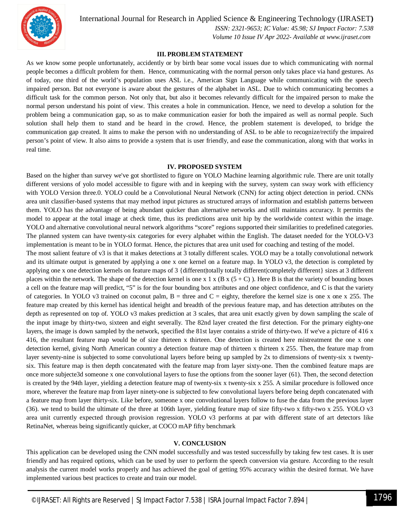

International Journal for Research in Applied Science & Engineering Technology (IJRASET**)**

 *ISSN: 2321-9653; IC Value: 45.98; SJ Impact Factor: 7.538 Volume 10 Issue IV Apr 2022- Available at www.ijraset.com*

#### **III. PROBLEM STATEMENT**

As we know some people unfortunately, accidently or by birth bear some vocal issues due to which communicating with normal people becomes a difficult problem for them. Hence, communicating with the normal person only takes place via hand gestures. As of today, one third of the world's population uses ASL i.e., American Sign Language while communicating with the speech impaired person. But not everyone is aware about the gestures of the alphabet in ASL. Due to which communicating becomes a difficult task for the common person. Not only that, but also it becomes relevantly difficult for the impaired person to make the normal person understand his point of view. This creates a hole in communication. Hence, we need to develop a solution for the problem being a communication gap, so as to make communication easier for both the impaired as well as normal people. Such solution shall help them to stand and be heard in the crowd. Hence, the problem statement is developed, to bridge the communication gap created. It aims to make the person with no understanding of ASL to be able to recognize/rectify the impaired person's point of view. It also aims to provide a system that is user friendly, and ease the communication, along with that works in real time.

#### **IV. PROPOSED SYSTEM**

Based on the higher than survey we've got shortlisted to figure on YOLO Machine learning algorithmic rule. There are unit totally different versions of yolo model accessible to figure with and in keeping with the survey, system can sway work with efficiency with YOLO Version three.0. YOLO could be a Convolutional Neural Network (CNN) for acting object detection in period. CNNs area unit classifier-based systems that may method input pictures as structured arrays of information and establish patterns between them. YOLO has the advantage of being abundant quicker than alternative networks and still maintains accuracy. It permits the model to appear at the total image at check time, thus its predictions area unit hip by the worldwide context within the image. YOLO and alternative convolutional neural network algorithms "score" regions supported their similarities to predefined categories. The planned system can have twenty-six categories for every alphabet within the English. The dataset needed for the YOLO-V3 implementation is meant to be in YOLO format. Hence, the pictures that area unit used for coaching and testing of the model.

The most salient feature of v3 is that it makes detections at 3 totally different scales. YOLO may be a totally convolutional network and its ultimate output is generated by applying a one x one kernel on a feature map. In YOLO v3, the detection is completed by applying one x one detection kernels on feature maps of 3 {different|totally totally different|completely different} sizes at 3 different places within the network. The shape of the detection kernel is one x 1 x (B x  $(5+C)$ ). Here B is that the variety of bounding boxes a cell on the feature map will predict, "5" is for the four bounding box attributes and one object confidence, and C is that the variety of categories. In YOLO v3 trained on coconut palm,  $B =$  three and  $C =$  eighty, therefore the kernel size is one x one x 255. The feature map created by this kernel has identical height and breadth of the previous feature map, and has detection attributes on the depth as represented on top of. YOLO v3 makes prediction at 3 scales, that area unit exactly given by down sampling the scale of the input image by thirty-two, sixteen and eight severally. The 82nd layer created the first detection. For the primary eighty-one layers, the image is down sampled by the network, specified the 81st layer contains a stride of thirty-two. If we've a picture of 416 x 416, the resultant feature map would be of size thirteen x thirteen. One detection is created here mistreatment the one x one detection kernel, giving North American country a detection feature map of thirteen x thirteen x 255. Then, the feature map from layer seventy-nine is subjected to some convolutional layers before being up sampled by 2x to dimensions of twenty-six x twentysix. This feature map is then depth concatenated with the feature map from layer sixty-one. Then the combined feature maps are once more subjecte3d someone x one convolutional layers to fuse the options from the sooner layer (61). Then, the second detection is created by the 94th layer, yielding a detection feature map of twenty-six x twenty-six x 255. A similar procedure is followed once more, wherever the feature map from layer ninety-one is subjected to few convolutional layers before being depth concatenated with a feature map from layer thirty-six. Like before, someone x one convolutional layers follow to fuse the data from the previous layer (36). we tend to build the ultimate of the three at 106th layer, yielding feature map of size fifty-two x fifty-two x 255. YOLO v3 area unit currently expected through provision regression. YOLO v3 performs at par with different state of art detectors like RetinaNet, whereas being significantly quicker, at COCO mAP fifty benchmark

#### **V. CONCLUSION**

This application can be developed using the CNN model successfully and was tested successfully by taking few test cases. It is user friendly and has required options, which can be used by user to perform the speech conversion via gesture. According to the result analysis the current model works properly and has achieved the goal of getting 95% accuracy within the desired format. We have implemented various best practices to create and train our model.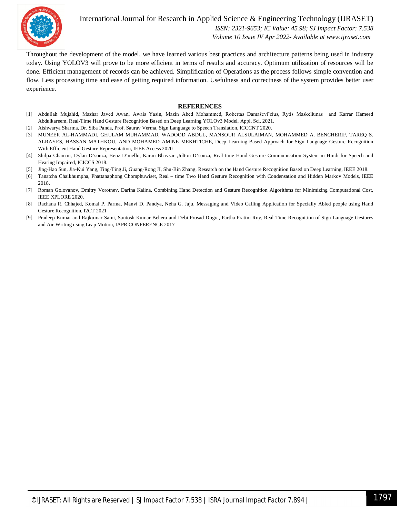

International Journal for Research in Applied Science & Engineering Technology (IJRASET**)**  *ISSN: 2321-9653; IC Value: 45.98; SJ Impact Factor: 7.538*

 *Volume 10 Issue IV Apr 2022- Available at www.ijraset.com*

Throughout the development of the model, we have learned various best practices and architecture patterns being used in industry today. Using YOLOV3 will prove to be more efficient in terms of results and accuracy. Optimum utilization of resources will be done. Efficient management of records can be achieved. Simplification of Operations as the process follows simple convention and flow. Less processing time and ease of getting required information. Usefulness and correctness of the system provides better user experience.

#### **REFERENCES**

- [1] Abdullah Mujahid, Mazhar Javed Awan, Awais Yasin, Mazin Abed Mohammed, Robertas Damaševiˇcius, Rytis Maskeliunas and Karrar Hameed Abdulkareem, Real-Time Hand Gesture Recognition Based on Deep Learning YOLOv3 Model, Appl. Sci. 2021.
- [2] Aishwarya Sharma, Dr. Siba Panda, Prof. Saurav Verma, Sign Language to Speech Translation, ICCCNT 2020.
- [3] MUNEER AL-HAMMADI, GHULAM MUHAMMAD, WADOOD ABDUL, MANSOUR ALSULAIMAN, MOHAMMED A. BENCHERIF, TAREQ S. ALRAYES, HASSAN MATHKOU, AND MOHAMED AMINE MEKHTICHE, Deep Learning-Based Approach for Sign Language Gesture Recognition With Efficient Hand Gesture Representation, IEEE Access 2020
- [4] Shilpa Chaman, Dylan D'souza, Benz D'mello, Karan Bhavsar ,Jolton D'souza, Real-time Hand Gesture Communication System in Hindi for Speech and Hearing Impaired, ICICCS 2018.
- [5] Jing-Hao Sun, Jia-Kui Yang, Ting-Ting Ji, Guang-Rong JI, Shu-Bin Zhang, Research on the Hand Gesture Recognition Based on Deep Learning, IEEE 2018.
- [6] Tanatcha Chaikhumpha, Phattanaphong Chomphuwiset, Real time Two Hand Gesture Recognition with Condensation and Hidden Markov Models, IEEE 2018.
- [7] Roman Golovanov, Dmitry Vorotnev, Darina Kalina, Combining Hand Detection and Gesture Recognition Algorithms for Minimizing Computational Cost, IEEE XPLORE 2020.
- [8] Rachana R. Chhajed, Komal P. Parma, Manvi D. Pandya, Neha G. Jaju, Messaging and Video Calling Application for Specially Abled people using Hand Gesture Recognition, I2CT 2021
- [9] Pradeep Kumar and Rajkumar Saini, Santosh Kumar Behera and Debi Prosad Dogra, Partha Pratim Roy, Real-Time Recognition of Sign Language Gestures and Air-Writing using Leap Motion, IAPR CONFERENCE 2017